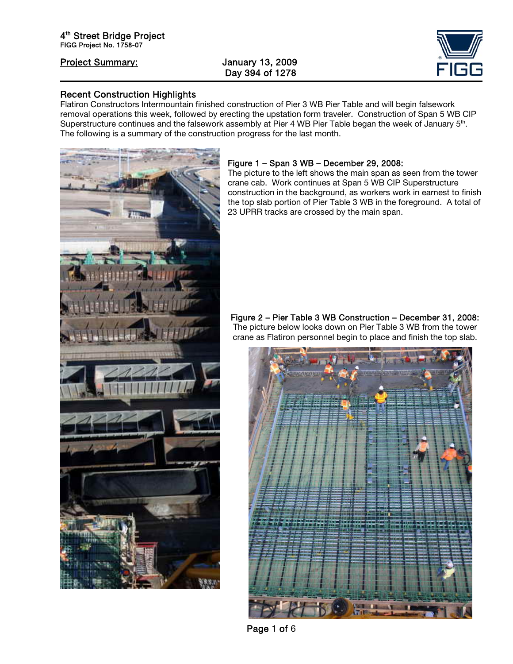ֺ

# Day 394 of 1278



### Recent Construction Highlights

Flatiron Constructors Intermountain finished construction of Pier 3 WB Pier Table and will begin falsework removal operations this week, followed by erecting the upstation form traveler. Construction of Span 5 WB CIP Superstructure continues and the falsework assembly at Pier 4 WB Pier Table began the week of January 5<sup>th</sup>. The following is a summary of the construction progress for the last month.



#### Figure 1 – Span 3 WB – December 29, 2008:

The picture to the left shows the main span as seen from the tower crane cab. Work continues at Span 5 WB CIP Superstructure construction in the background, as workers work in earnest to finish the top slab portion of Pier Table 3 WB in the foreground. A total of 23 UPRR tracks are crossed by the main span.

#### Figure 2 – Pier Table 3 WB Construction – December 31, 2008: The picture below looks down on Pier Table 3 WB from the tower crane as Flatiron personnel begin to place and finish the top slab.



Page 1 of 6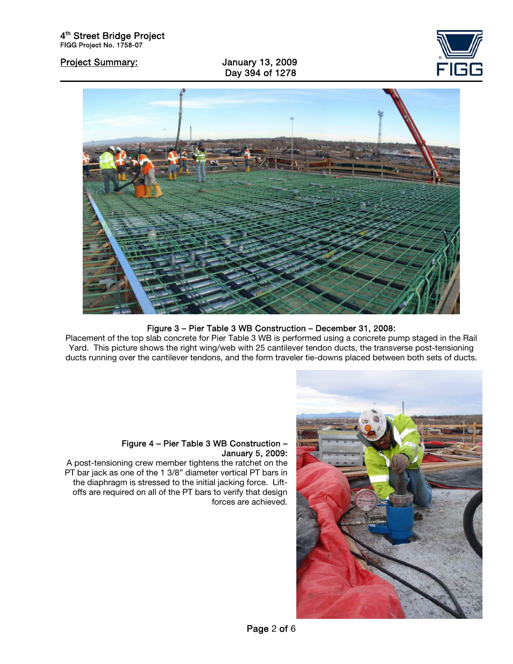ֺ

Day 394 of 1278





## Figure 3 – Pier Table 3 WB Construction – December 31, 2008:

Placement of the top slab concrete for Pier Table 3 WB is performed using a concrete pump staged in the Rail Yard. This picture shows the right wing/web with 25 cantilever tendon ducts, the transverse post-tensioning ducts running over the cantilever tendons, and the form traveler tie-downs placed between both sets of ducts.



#### Figure 4 – Pier Table 3 WB Construction – January 5, 2009:

A post-tensioning crew member tightens the ratchet on the PT bar jack as one of the 1 3/8" diameter vertical PT bars in the diaphragm is stressed to the initial jacking force. Liftoffs are required on all of the PT bars to verify that design forces are achieved.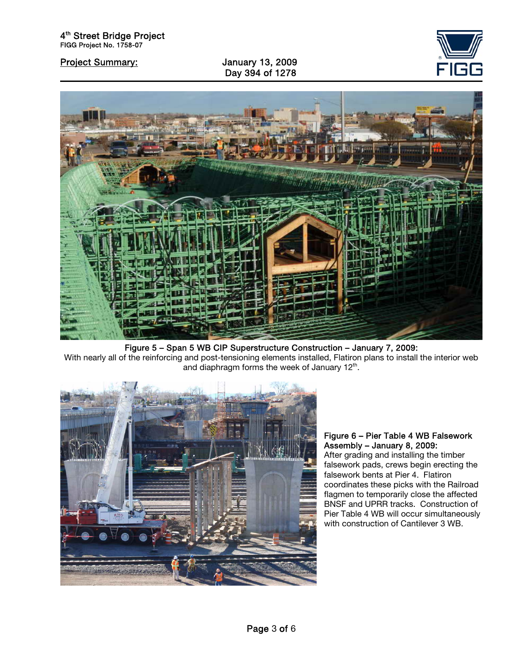Day 394 of 1278





Figure 5 – Span 5 WB CIP Superstructure Construction – January 7, 2009: With nearly all of the reinforcing and post-tensioning elements installed, Flatiron plans to install the interior web and diaphragm forms the week of January 12<sup>th</sup>.



## Figure 6 – Pier Table 4 WB Falsework Assembly – January 8, 2009:

After grading and installing the timber falsework pads, crews begin erecting the falsework bents at Pier 4. Flatiron coordinates these picks with the Railroad flagmen to temporarily close the affected BNSF and UPRR tracks. Construction of Pier Table 4 WB will occur simultaneously with construction of Cantilever 3 WB.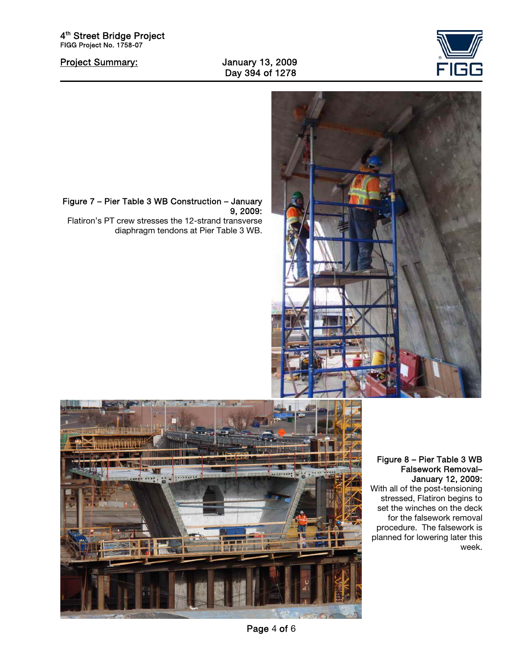

Project Summary: January 13, 2009 Day 394 of 1278

4<sup>th</sup> Street Bridge Project FIGG Project No. 1758-07

ֺ



Figure 7 – Pier Table 3 WB Construction – January 9, 2009:

Flatiron's PT crew stresses the 12-strand transverse diaphragm tendons at Pier Table 3 WB.



#### Figure 8 – Pier Table 3 WB Falsework Removal– January 12, 2009:

With all of the post-tensioning stressed, Flatiron begins to set the winches on the deck for the falsework removal procedure. The falsework is planned for lowering later this week.

Page 4 of 6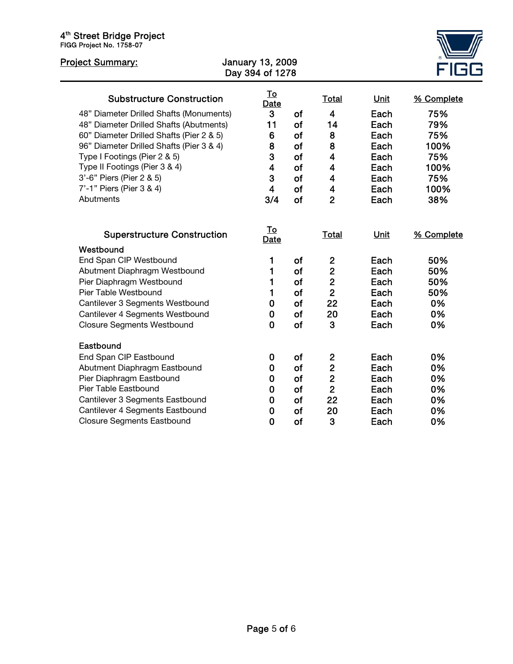#### 4<sup>th</sup> Street Bridge Project FIGG Project No. 1758-07

| <b>Project Summary:</b>                  | <b>January 13, 2009</b><br>Day 394 of 1278 |                   |           |                         |             |            |  |
|------------------------------------------|--------------------------------------------|-------------------|-----------|-------------------------|-------------|------------|--|
| <b>Substructure Construction</b>         |                                            | <u>To</u><br>Date |           | <b>Total</b>            | <b>Unit</b> | % Complete |  |
| 48" Diameter Drilled Shafts (Monuments)  |                                            | 3                 | of        | $\overline{\mathbf{4}}$ | Each        | 75%        |  |
| 48" Diameter Drilled Shafts (Abutments)  |                                            | 11                | of        | 14                      | Each        | 79%        |  |
| 60" Diameter Drilled Shafts (Pier 2 & 5) |                                            | 6                 | of        | 8                       | Each        | 75%        |  |
| 96" Diameter Drilled Shafts (Pier 3 & 4) |                                            | 8                 | of        | 8                       | Each        | 100%       |  |
| Type I Footings (Pier 2 & 5)             |                                            | 3                 | of        | 4                       | Each        | 75%        |  |
| Type II Footings (Pier 3 & 4)            |                                            | 4                 | of        | 4                       | Each        | 100%       |  |
| 3'-6" Piers (Pier 2 & 5)                 |                                            | 3                 | of        | 4                       | Each        | 75%        |  |
| 7'-1" Piers (Pier 3 & 4)                 |                                            | $\overline{4}$    | of        | $\overline{\mathbf{4}}$ | Each        | 100%       |  |
| Abutments                                |                                            | 3/4               | of        | $\overline{2}$          | Each        | 38%        |  |
| <b>Superstructure Construction</b>       |                                            | <u>To</u><br>Date |           | Total                   | Unit        | % Complete |  |
| Westbound                                |                                            |                   |           |                         |             |            |  |
| End Span CIP Westbound                   |                                            | 1                 | <b>of</b> | $\overline{2}$          | Each        | 50%        |  |
| Abutment Diaphragm Westbound             |                                            | 1                 | of        | $\overline{2}$          | Each        | 50%        |  |
| Pier Diaphragm Westbound                 |                                            | 1                 | of        | $\mathbf{2}$            | Each        | 50%        |  |
| Pier Table Westbound                     |                                            | 1                 | of        | $\overline{2}$          | Each        | 50%        |  |
| Cantilever 3 Segments Westbound          |                                            | 0                 | of        | 22                      | Each        | 0%         |  |
| Cantilever 4 Segments Westbound          |                                            | 0                 | of        | 20                      | Each        | 0%         |  |
| <b>Closure Segments Westbound</b>        |                                            | 0                 | of        | 3                       | Each        | 0%         |  |
| Eastbound                                |                                            |                   |           |                         |             |            |  |
| End Span CIP Eastbound                   |                                            | 0                 | of        | $\boldsymbol{2}$        | Each        | 0%         |  |
| Abutment Diaphragm Eastbound             |                                            | 0                 | of        | $\overline{\mathbf{c}}$ | Each        | 0%         |  |
| Pier Diaphragm Eastbound                 |                                            | 0                 | of        | $\overline{2}$          | Each        | 0%         |  |
| Pier Table Eastbound                     |                                            | 0                 | of        | $\overline{2}$          | Each        | 0%         |  |
| Cantilever 3 Segments Eastbound          |                                            | 0                 | of        | 22                      | Each        | 0%         |  |
| Cantilever 4 Segments Eastbound          |                                            | 0                 | of        | 20                      | Each        | 0%         |  |
| <b>Closure Segments Eastbound</b>        |                                            | $\mathbf 0$       | of        | 3                       | Each        | 0%         |  |

≝<br>iG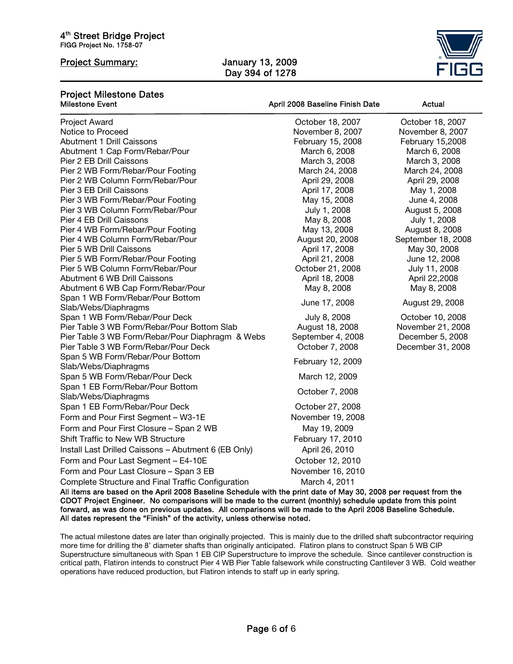ֺ

# Day 394 of 1278



#### Project Milestone Dates April 2008 Baseline Finish Date Actual  $\overline{a}$ Project Award October 18, 2007 October 18, 2007 Notice to Proceed November 8, 2007 November 8, 2007 November 8, 2007 Abutment 1 Drill Caissons The Cassons February 15, 2008 February 15, 2008 Abutment 1 Cap Form/Rebar/Pour March 6, 2008 March 6, 2008 March 6, 2008 Pier 2 EB Drill Caissons **March 3, 2008** March 3, 2008 March 3, 2008 March 3, 2008 March 3, 2008<br>Pier 2 WB Form/Rebar/Pour Footing **March 24, 2008** March 24, 2008 March 24, 2008 Pier 2 WB Form/Rebar/Pour Footing March 24, 2008 March 24, 2008 March 24, 2008 Pier 2 WB Column Form/Rebar/Pour **April 29, 2008** April 29, 2008 April 29, 2008 Pier 3 EB Drill Caissons **April 17, 2008** May 1, 2008 Pier 3 WB Form/Rebar/Pour Footing May 15, 2008 May 15, 2008 June 4, 2008 Pier 3 WB Column Form/Rebar/Pour **Column Form/Rebar/Pour** July 1, 2008 August 5, 2008 Pier 4 EB Drill Caissons **May 8, 2008** July 1, 2008 Pier 4 WB Form/Rebar/Pour Footing and May 13, 2008 August 8, 2008<br>Pier 4 WB Column Form/Rebar/Pour and May 13, 2008 August 20, 2008 September 18, 2008 Pier 4 WB Column Form/Rebar/Pour Pier 5 WB Drill Caissons **April 17, 2008** May 30, 2008 Pier 5 WB Form/Rebar/Pour Footing April 21, 2008 April 21, 2008 June 12, 2008 Pier 5 WB Column Form/Rebar/Pour **Column 10 Column 10 Column 11, 2008** July 11, 2008 Abutment 6 WB Drill Caissons April 18, 2008 April 18, 2008 April 22, 2008 Abutment 6 WB Cap Form/Rebar/Pour May 8, 2008 May 8, 2008 May 8, 2008 Span 1 WB Form/Rebar/Pour Bottom Slab/Webs/Diaphragms June 17, 2008<br>Slab/Webs/Diaphragms Span 1 WB Form/Rebar/Pour Deck July 8, 2008 October 10, 2008 Pier Table 3 WB Form/Rebar/Pour Bottom Slab August 18, 2008 November 21, 2008 Pier Table 3 WB Form/Rebar/Pour Diaphragm & Webs September 4, 2008 December 5, 2008 Pier Table 3 WB Form/Rebar/Pour Deck October 7, 2008 December 31, 2008 Span 5 WB Form/Rebar/Pour Bottom Spair's WB Form/Repail/Four Bottom<br>Slab/Webs/Diaphragms Span 5 WB Form/Rebar/Pour Deck March 12, 2009 Span 1 EB Form/Rebar/Pour Bottom Span TEB Tom/Hebal/Four Bottom<br>Slab/Webs/Diaphragms Control of the Control of Coronal Control of the Control of Slab Span 1 EB Form/Rebar/Pour Deck October 27, 2008 Form and Pour First Segment – W3-1E November 19, 2008 Form and Pour First Closure – Span 2 WB May 19, 2009 Shift Traffic to New WB Structure The Control of Tebruary 17, 2010 Install Last Drilled Caissons – Abutment 6 (EB Only) April 26, 2010 Form and Pour Last Segment – E4-10E Correct Correct Correct Pour Last Segment – E4-10E Form and Pour Last Closure – Span 3 EB November 16, 2010 Complete Structure and Final Traffic Configuration March 4, 2011<br>All items are based on the April 2008 Baseline Schedule with the print date of May 30, 2008 per request from the

CDOT Project Engineer. No comparisons will be made to the current (monthly) schedule update from this point forward, as was done on previous updates. All comparisons will be made to the April 2008 Baseline Schedule. All dates represent the "Finish" of the activity, unless otherwise noted.

The actual milestone dates are later than originally projected. This is mainly due to the drilled shaft subcontractor requiring more time for drilling the 8' diameter shafts than originally anticipated. Flatiron plans to construct Span 5 WB CIP Superstructure simultaneous with Span 1 EB CIP Superstructure to improve the schedule. Since cantilever construction is critical path, Flatiron intends to construct Pier 4 WB Pier Table falsework while constructing Cantilever 3 WB. Cold weather operations have reduced production, but Flatiron intends to staff up in early spring.